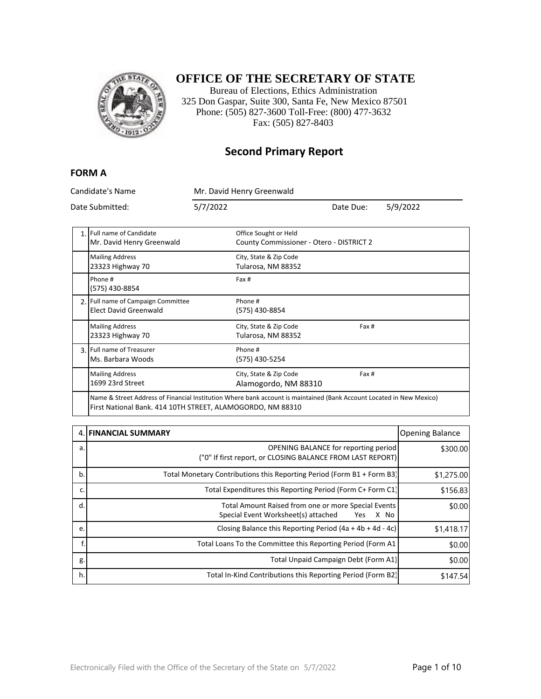

### **OFFICE OF THE SECRETARY OF STATE**

Bureau of Elections, Ethics Administration 325 Don Gaspar, Suite 300, Santa Fe, New Mexico 87501 Phone: (505) 827-3600 Toll-Free: (800) 477-3632 Fax: (505) 827-8403

#### **Second Primary Report**

#### **FORM A**

Candidate's Name Mr. David Henry Greenwald Date Submitted: 5/7/2022 Date Due: 5/9/2022 1. Full name of Candidate Mr. David Henry Greenwald Office Sought or Held County Commissioner - Otero - DISTRICT 2 Mailing Address 23323 Highway 70 City, State & Zip Code Tularosa, NM 88352 Phone # (575) 430-8854 Fax # 2. Full name of Campaign Committee Elect David Greenwald Phone # (575) 430-8854 Mailing Address 23323 Highway 70 City, State & Zip Code Tularosa, NM 88352 Fax # 3. Full name of Treasurer Ms. Barbara Woods Phone # (575) 430-5254 Mailing Address 1699 23rd Street City, State & Zip Code Alamogordo, NM 88310 Fax # Name & Street Address of Financial Institution Where bank account is maintained (Bank Account Located in New Mexico)

| First National Bank. 414 10TH STREET, ALAMOGORDO, NM 88310 |
|------------------------------------------------------------|
|------------------------------------------------------------|

|    | 4. FINANCIAL SUMMARY                                                                                      | <b>Opening Balance</b> |
|----|-----------------------------------------------------------------------------------------------------------|------------------------|
| a. | <b>OPENING BALANCE for reporting period</b><br>("0" If first report, or CLOSING BALANCE FROM LAST REPORT) | \$300.00               |
| b. | Total Monetary Contributions this Reporting Period (Form B1 + Form B3)                                    | \$1,275.00             |
| c. | Total Expenditures this Reporting Period (Form C+ Form C1)                                                | \$156.83               |
| d. | Total Amount Raised from one or more Special Events<br>Special Event Worksheet(s) attached<br>X No<br>Yes | \$0.00                 |
| e. | Closing Balance this Reporting Period $(4a + 4b + 4d - 4c)$                                               | \$1,418.17             |
|    | Total Loans To the Committee this Reporting Period (Form A1)                                              | \$0.00                 |
| g. | Total Unpaid Campaign Debt (Form A1)                                                                      | \$0.00                 |
| h. | Total In-Kind Contributions this Reporting Period (Form B2)                                               | \$147.54               |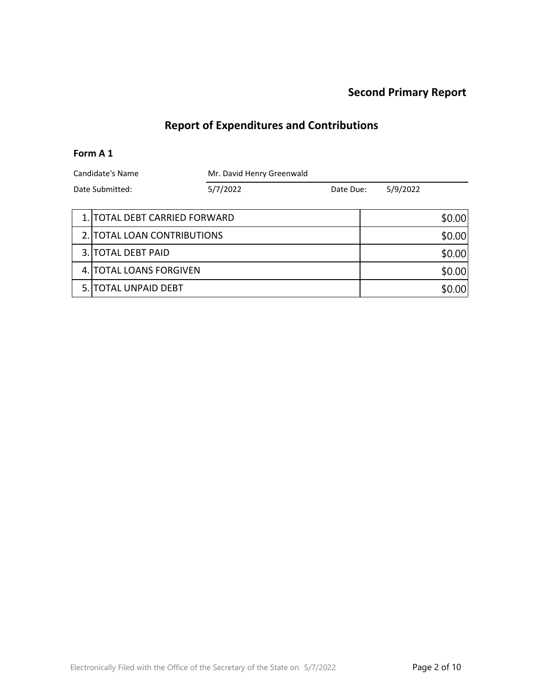# **Report of Expenditures and Contributions**

#### **Form A 1**

| Candidate's Name<br>Date Submitted: |                               | Mr. David Henry Greenwald |           |  |          |        |
|-------------------------------------|-------------------------------|---------------------------|-----------|--|----------|--------|
|                                     |                               | 5/7/2022                  | Date Due: |  | 5/9/2022 |        |
|                                     | 1. TOTAL DEBT CARRIED FORWARD |                           |           |  |          | \$0.00 |
|                                     | 2. TOTAL LOAN CONTRIBUTIONS   |                           |           |  |          | \$0.00 |
|                                     | 3. TOTAL DEBT PAID            |                           |           |  |          | \$0.00 |
|                                     | 4. TOTAL LOANS FORGIVEN       |                           |           |  |          | \$0.00 |
| 5.1                                 | TOTAL UNPAID DEBT             |                           |           |  |          | \$0.00 |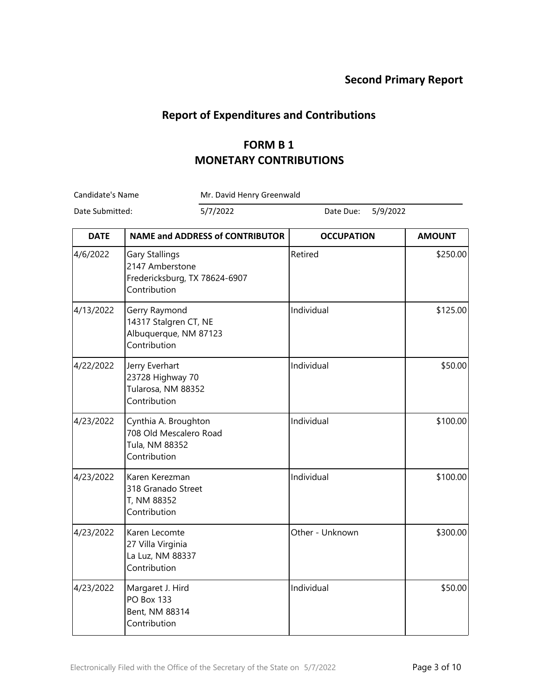### **Report of Expenditures and Contributions**

## **FORM B 1 MONETARY CONTRIBUTIONS**

Candidate's Name Mr. David Henry Greenwald

| <b>DATE</b> | <b>NAME and ADDRESS of CONTRIBUTOR</b>                                             | <b>OCCUPATION</b> | <b>AMOUNT</b> |
|-------------|------------------------------------------------------------------------------------|-------------------|---------------|
| 4/6/2022    | Gary Stallings<br>2147 Amberstone<br>Fredericksburg, TX 78624-6907<br>Contribution | Retired           | \$250.00      |
| 4/13/2022   | Gerry Raymond<br>14317 Stalgren CT, NE<br>Albuquerque, NM 87123<br>Contribution    | Individual        | \$125.00      |
| 4/22/2022   | Jerry Everhart<br>23728 Highway 70<br>Tularosa, NM 88352<br>Contribution           | Individual        | \$50.00       |
| 4/23/2022   | Cynthia A. Broughton<br>708 Old Mescalero Road<br>Tula, NM 88352<br>Contribution   | Individual        | \$100.00      |
| 4/23/2022   | Karen Kerezman<br>318 Granado Street<br>T, NM 88352<br>Contribution                | Individual        | \$100.00      |
| 4/23/2022   | Karen Lecomte<br>27 Villa Virginia<br>La Luz, NM 88337<br>Contribution             | Other - Unknown   | \$300.00      |
| 4/23/2022   | Margaret J. Hird<br><b>PO Box 133</b><br>Bent, NM 88314<br>Contribution            | Individual        | \$50.00       |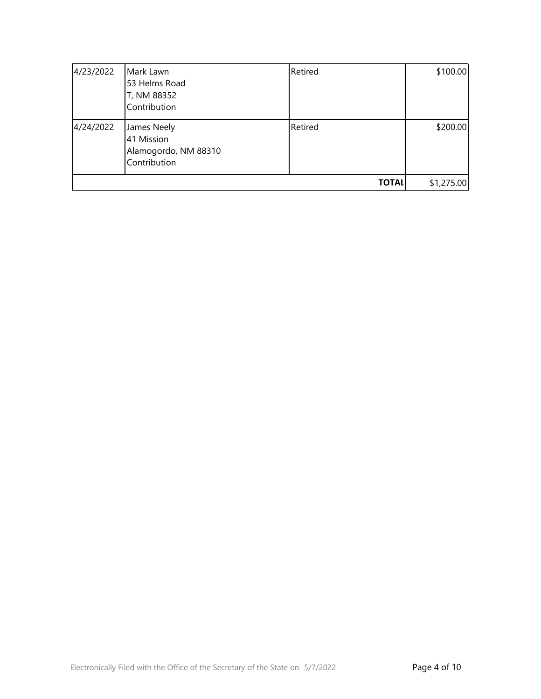| 4/23/2022 | Mark Lawn<br>53 Helms Road<br>T, NM 88352<br>Contribution         | Retired      | \$100.00   |
|-----------|-------------------------------------------------------------------|--------------|------------|
| 4/24/2022 | James Neely<br>41 Mission<br>Alamogordo, NM 88310<br>Contribution | Retired      | \$200.00]  |
|           |                                                                   | <b>TOTAL</b> | \$1,275.00 |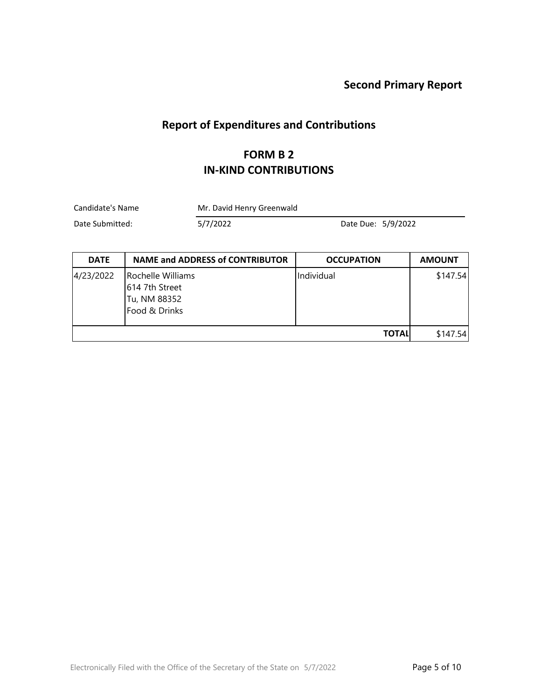# **Report of Expenditures and Contributions**

#### **FORM B 2 IN-KIND CONTRIBUTIONS**

Candidate's Name Mr. David Henry Greenwald

| <b>DATE</b> | <b>NAME and ADDRESS of CONTRIBUTOR</b>                               | <b>OCCUPATION</b> | <b>AMOUNT</b> |
|-------------|----------------------------------------------------------------------|-------------------|---------------|
| 4/23/2022   | Rochelle Williams<br>614 7th Street<br>Tu, NM 88352<br>Food & Drinks | Individual        | \$147.54      |
|             |                                                                      | <b>TOTAL</b>      | \$147.54      |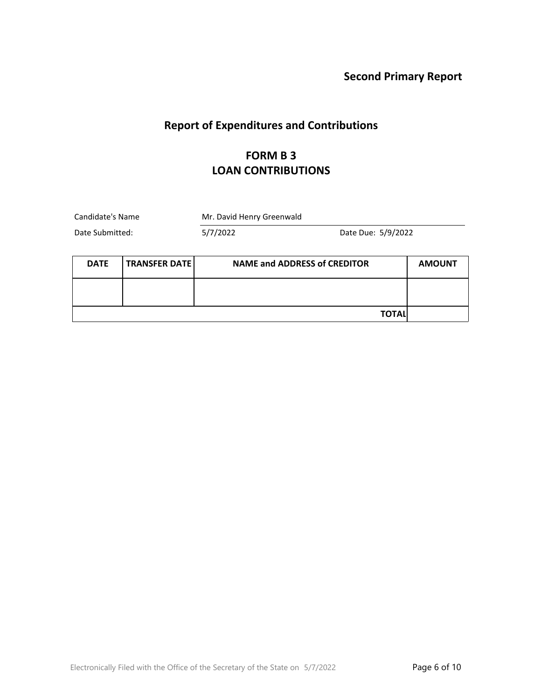# **Report of Expenditures and Contributions**

### **FORM B 3 LOAN CONTRIBUTIONS**

| Candidate's Name                    |  | Mr. David Henry Greenwald           |                    |               |
|-------------------------------------|--|-------------------------------------|--------------------|---------------|
| Date Submitted:                     |  | 5/7/2022                            | Date Due: 5/9/2022 |               |
| <b>TRANSFER DATE</b><br><b>DATE</b> |  | <b>NAME and ADDRESS of CREDITOR</b> |                    | <b>AMOUNT</b> |
|                                     |  |                                     |                    |               |
|                                     |  |                                     | TOTAL              |               |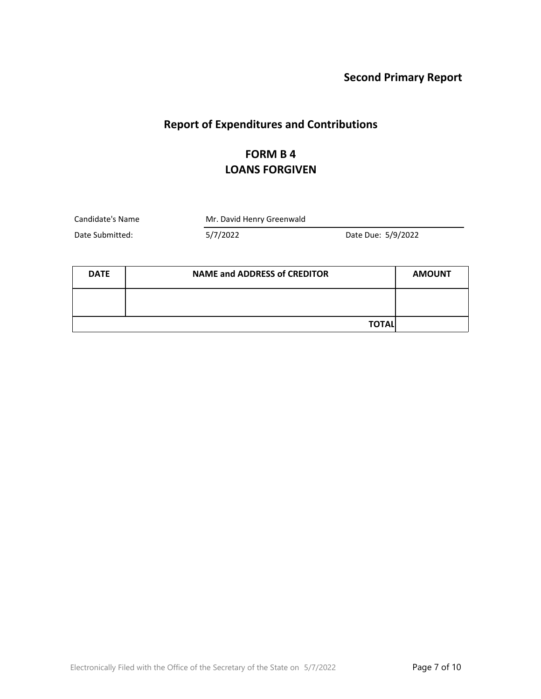# **Report of Expenditures and Contributions**

## **FORM B 4 LOANS FORGIVEN**

Candidate's Name Mr. David Henry Greenwald

| <b>DATE</b> | <b>NAME and ADDRESS of CREDITOR</b> | <b>AMOUNT</b> |
|-------------|-------------------------------------|---------------|
|             |                                     |               |
|             | <b>TOTAL</b>                        |               |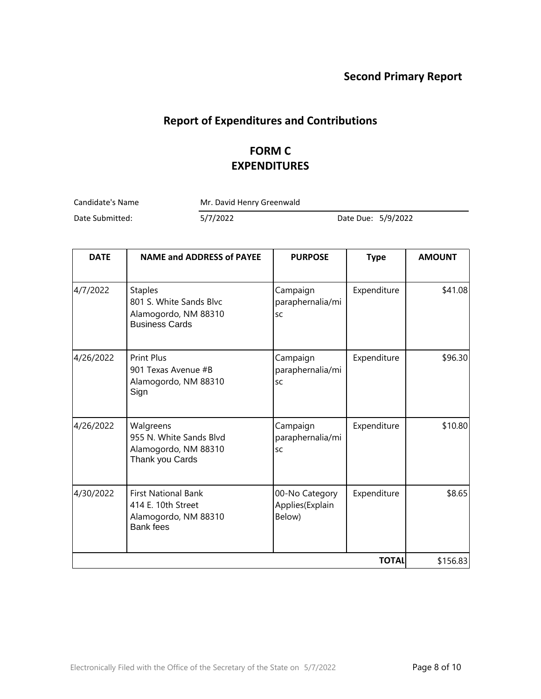# **Report of Expenditures and Contributions**

## **FORM C EXPENDITURES**

Candidate's Name Mr. David Henry Greenwald

| <b>DATE</b> | <b>NAME and ADDRESS of PAYEE</b>                                                             | <b>PURPOSE</b>                              | <b>Type</b> | <b>AMOUNT</b> |
|-------------|----------------------------------------------------------------------------------------------|---------------------------------------------|-------------|---------------|
| 4/7/2022    | <b>Staples</b><br>801 S. White Sands Blvc<br>Alamogordo, NM 88310<br><b>Business Cards</b>   | Campaign<br>paraphernalia/mi<br>SC          | Expenditure | \$41.08       |
| 4/26/2022   | <b>Print Plus</b><br>901 Texas Avenue #B<br>Alamogordo, NM 88310<br>Sign                     | Campaign<br>paraphernalia/mi<br>SC          | Expenditure | \$96.30       |
| 4/26/2022   | Walgreens<br>955 N. White Sands Blvd<br>Alamogordo, NM 88310<br>Thank you Cards              | Campaign<br>paraphernalia/mi<br>SC          | Expenditure | \$10.80       |
| 4/30/2022   | <b>First National Bank</b><br>414 E. 10th Street<br>Alamogordo, NM 88310<br><b>Bank fees</b> | 00-No Category<br>Applies(Explain<br>Below) | Expenditure | \$8.65        |
|             | \$156.83                                                                                     |                                             |             |               |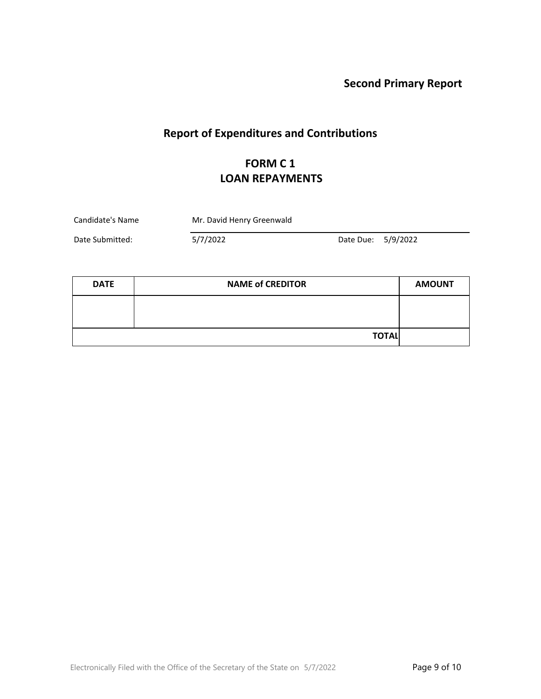# **Report of Expenditures and Contributions**

# **FORM C 1 LOAN REPAYMENTS**

| Candidate's Name | Mr. David Henry Greenwald |                    |  |
|------------------|---------------------------|--------------------|--|
| Date Submitted:  | 5/7/2022                  | Date Due: 5/9/2022 |  |

| <b>DATE</b> | <b>NAME of CREDITOR</b> | <b>AMOUNT</b> |
|-------------|-------------------------|---------------|
|             |                         |               |
|             |                         |               |
|             | <b>TOTAL</b>            |               |